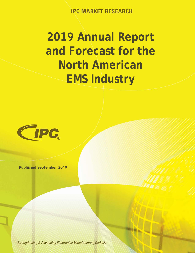**IPC MARKET RESEARCH** 

## **2019 Annual Report and Forecast for the North American EMS Industry**



**Published September 2019**

**Strengthening & Advancing Electronics Manufacturing Globally**